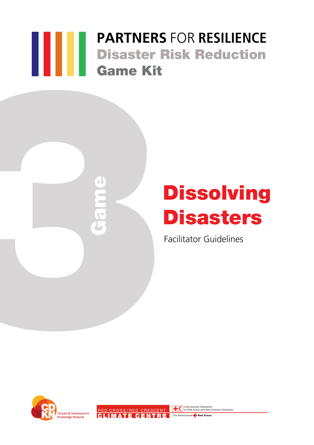## **PARTNERS** FOR **RESILIENCE** Disaster Risk Reduction Game Kit



# **Dissolving Disasters**

Facilitator Guidelines



RED CROSS/RED CRESCENT **TO** International Federation CLIMATE CENTRE The Netherlands **Red Cross**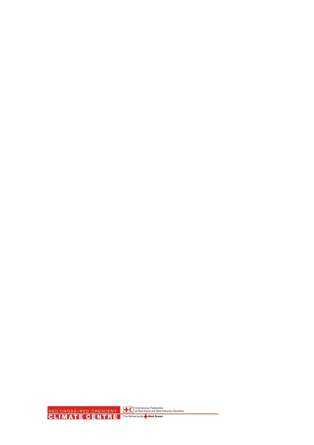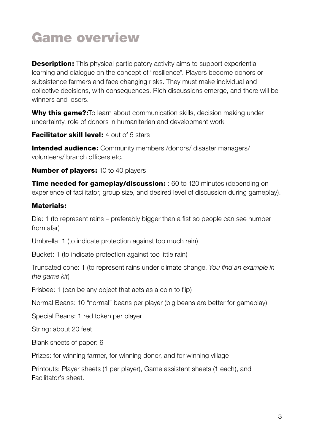### Game overview

**Description:** This physical participatory activity aims to support experiential learning and dialogue on the concept of "resilience". Players become donors or subsistence farmers and face changing risks. They must make individual and collective decisions, with consequences. Rich discussions emerge, and there will be winners and losers.

Why this game?: To learn about communication skills, decision making under uncertainty, role of donors in humanitarian and development work

**Facilitator skill level:** 4 out of 5 stars

Intended audience: Community members /donors/ disaster managers/ volunteers/ branch officers etc.

**Number of players:** 10 to 40 players

**Time needed for gameplay/discussion:** : 60 to 120 minutes (depending on experience of facilitator, group size, and desired level of discussion during gameplay).

#### Materials:

Die: 1 (to represent rains – preferably bigger than a fist so people can see number from afar)

Umbrella: 1 (to indicate protection against too much rain)

Bucket: 1 (to indicate protection against too little rain)

Truncated cone: 1 (to represent rains under climate change. *You find an example in the game kit*)

Frisbee: 1 (can be any object that acts as a coin to flip)

Normal Beans: 10 "normal" beans per player (big beans are better for gameplay)

Special Beans: 1 red token per player

String: about 20 feet

Blank sheets of paper: 6

Prizes: for winning farmer, for winning donor, and for winning village

Printouts: Player sheets (1 per player), Game assistant sheets (1 each), and Facilitator's sheet.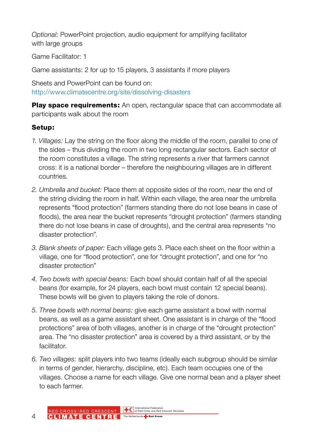*Optional:* PowerPoint projection, audio equipment for amplifying facilitator with large groups

Game Facilitator: 1

Game assistants: 2 for up to 15 players, 3 assistants if more players

Sheets and PowerPoint can be found on: http://www.climatecentre.org/site/dissolving-disasters

**Play space requirements:** An open, rectangular space that can accommodate all participants walk about the room

#### Setup:

- *1. Villages:* Lay the string on the floor along the middle of the room, parallel to one of the sides – thus dividing the room in two long rectangular sectors. Each sector of the room constitutes a village. The string represents a river that farmers cannot cross: it is a national border – therefore the neighbouring villages are in different countries.
- *2. Umbrella and bucket:* Place them at opposite sides of the room, near the end of the string dividing the room in half. Within each village, the area near the umbrella represents "flood protection" (farmers standing there do not lose beans in case of floods), the area near the bucket represents "drought protection" (farmers standing there do not lose beans in case of droughts), and the central area represents "no disaster protection".
- *3. Blank sheets of paper:* Each village gets 3. Place each sheet on the floor within a village, one for "flood protection", one for "drought protection", and one for "no disaster protection"
- *4. Two bowls with special beans:* Each bowl should contain half of all the special beans (for example, for 24 players, each bowl must contain 12 special beans). These bowls will be given to players taking the role of donors.
- *5. Three bowls with normal beans:* give each game assistant a bowl with normal beans, as well as a game assistant sheet. One assistant is in charge of the "flood protections" area of both villages, another is in charge of the "drought protection" area. The "no disaster protection" area is covered by a third assistant, or by the facilitator.
- *6. Two villages:* split players into two teams (ideally each subgroup should be similar in terms of gender, hierarchy, discipline, etc). Each team occupies one of the villages. Choose a name for each village. Give one normal bean and a player sheet to each farmer.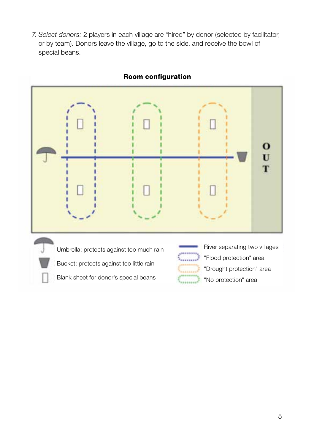*7. Select donors:* 2 players in each village are "hired" by donor (selected by facilitator, or by team). Donors leave the village, go to the side, and receive the bowl of special beans.



#### Room configuration

Bucket: protects against too little rain

Blank sheet for donor's special beans

"Flood protection" area "Drought protection" area "No protection" area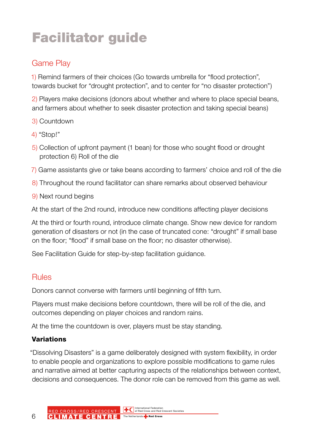## Facilitator guide

### Game Play

1) Remind farmers of their choices (Go towards umbrella for "flood protection", towards bucket for "drought protection", and to center for "no disaster protection")

2) Players make decisions (donors about whether and where to place special beans, and farmers about whether to seek disaster protection and taking special beans)

- 3) Countdown
- 4) "Stop!"
- 5) Collection of upfront payment (1 bean) for those who sought flood or drought protection 6) Roll of the die
- 7) Game assistants give or take beans according to farmers' choice and roll of the die
- 8) Throughout the round facilitator can share remarks about observed behaviour
- 9) Next round begins

At the start of the 2nd round, introduce new conditions affecting player decisions

At the third or fourth round, introduce climate change. Show new device for random generation of disasters or not (in the case of truncated cone: "drought" if small base on the floor; "flood" if small base on the floor; no disaster otherwise).

See Facilitation Guide for step-by-step facilitation guidance.

#### Rules

Donors cannot converse with farmers until beginning of fifth turn.

Players must make decisions before countdown, there will be roll of the die, and outcomes depending on player choices and random rains.

At the time the countdown is over, players must be stay standing.

#### Variations

"Dissolving Disasters" is a game deliberately designed with system flexibility, in order to enable people and organizations to explore possible modifications to game rules and narrative aimed at better capturing aspects of the relationships between context, decisions and consequences. The donor role can be removed from this game as well.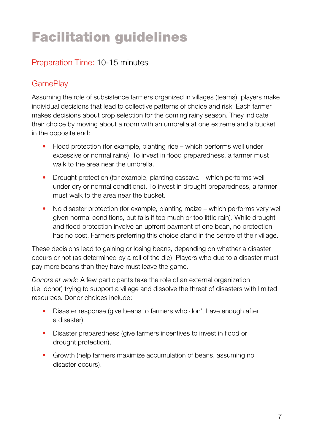## Facilitation guidelines

#### Preparation Time: 10-15 minutes

#### **GamePlay**

Assuming the role of subsistence farmers organized in villages (teams), players make individual decisions that lead to collective patterns of choice and risk. Each farmer makes decisions about crop selection for the coming rainy season. They indicate their choice by moving about a room with an umbrella at one extreme and a bucket in the opposite end:

- Flood protection (for example, planting rice which performs well under excessive or normal rains). To invest in flood preparedness, a farmer must walk to the area near the umbrella.
- Drought protection (for example, planting cassava which performs well under dry or normal conditions). To invest in drought preparedness, a farmer must walk to the area near the bucket.
- No disaster protection (for example, planting maize which performs very well given normal conditions, but fails if too much or too little rain). While drought and flood protection involve an upfront payment of one bean, no protection has no cost. Farmers preferring this choice stand in the centre of their village.

These decisions lead to gaining or losing beans, depending on whether a disaster occurs or not (as determined by a roll of the die). Players who due to a disaster must pay more beans than they have must leave the game.

*Donors at work:* A few participants take the role of an external organization (i.e. donor) trying to support a village and dissolve the threat of disasters with limited resources. Donor choices include:

- Disaster response (give beans to farmers who don't have enough after a disaster),
- Disaster preparedness (give farmers incentives to invest in flood or drought protection),
- Growth (help farmers maximize accumulation of beans, assuming no disaster occurs).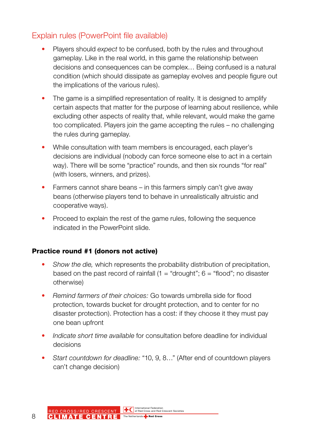#### Explain rules (PowerPoint file available)

- Players should *expect* to be confused, both by the rules and throughout gameplay. Like in the real world, in this game the relationship between decisions and consequences can be complex… Being confused is a natural condition (which should dissipate as gameplay evolves and people figure out the implications of the various rules).
- The game is a simplified representation of reality. It is designed to amplify certain aspects that matter for the purpose of learning about resilience, while excluding other aspects of reality that, while relevant, would make the game too complicated. Players join the game accepting the rules – no challenging the rules during gameplay.
- While consultation with team members is encouraged, each player's decisions are individual (nobody can force someone else to act in a certain way). There will be some "practice" rounds, and then six rounds "for real" (with losers, winners, and prizes).
- Farmers cannot share beans in this farmers simply can't give away beans (otherwise players tend to behave in unrealistically altruistic and cooperative ways).
- Proceed to explain the rest of the game rules, following the sequence indicated in the PowerPoint slide.

#### Practice round #1 (donors not active)

- *Show the die,* which represents the probability distribution of precipitation, based on the past record of rainfall  $(1 = "drought"; 6 = "flood";$  no disaster otherwise)
- *Remind farmers of their choices:* Go towards umbrella side for flood protection, towards bucket for drought protection, and to center for no disaster protection). Protection has a cost: if they choose it they must pay one bean upfront
- *Indicate short time available* for consultation before deadline for individual decisions
- *Start countdown for deadline:* "10, 9, 8…" (After end of countdown players can't change decision)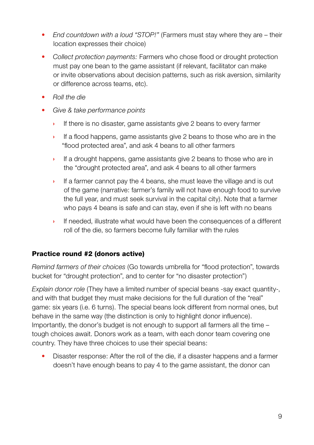- *End countdown with a loud "STOP!"* (Farmers must stay where they are their location expresses their choice)
- *Collect protection payments:* Farmers who chose flood or drought protection must pay one bean to the game assistant (if relevant, facilitator can make or invite observations about decision patterns, such as risk aversion, similarity or difference across teams, etc).
- *Roll the die*
- *Give & take performance points* 
	- If there is no disaster, game assistants give 2 beans to every farmer
	- › If a flood happens, game assistants give 2 beans to those who are in the "flood protected area", and ask 4 beans to all other farmers
	- › If a drought happens, game assistants give 2 beans to those who are in the "drought protected area", and ask 4 beans to all other farmers
	- › If a farmer cannot pay the 4 beans, she must leave the village and is out of the game (narrative: farmer's family will not have enough food to survive the full year, and must seek survival in the capital city). Note that a farmer who pays 4 beans is safe and can stay, even if she is left with no beans
	- › If needed, illustrate what would have been the consequences of a different roll of the die, so farmers become fully familiar with the rules

#### Practice round #2 (donors active)

*Remind farmers of their choices* (Go towards umbrella for "flood protection", towards bucket for "drought protection", and to center for "no disaster protection")

*Explain donor role* (They have a limited number of special beans -say exact quantity-, and with that budget they must make decisions for the full duration of the "real" game: six years (i.e. 6 turns). The special beans look different from normal ones, but behave in the same way (the distinction is only to highlight donor influence). Importantly, the donor's budget is not enough to support all farmers all the time – tough choices await. Donors work as a team, with each donor team covering one country. They have three choices to use their special beans:

• Disaster response: After the roll of the die, if a disaster happens and a farmer doesn't have enough beans to pay 4 to the game assistant, the donor can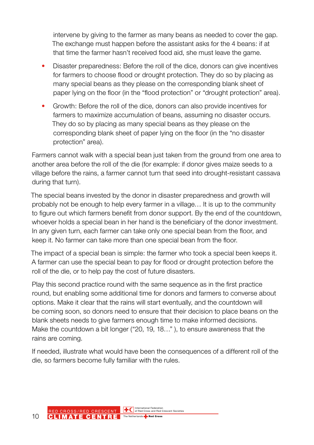intervene by giving to the farmer as many beans as needed to cover the gap. The exchange must happen before the assistant asks for the 4 beans: if at that time the farmer hasn't received food aid, she must leave the game.

- Disaster preparedness: Before the roll of the dice, donors can give incentives for farmers to choose flood or drought protection. They do so by placing as many special beans as they please on the corresponding blank sheet of paper lying on the floor (in the "flood protection" or "drought protection" area).
- Growth: Before the roll of the dice, donors can also provide incentives for farmers to maximize accumulation of beans, assuming no disaster occurs. They do so by placing as many special beans as they please on the corresponding blank sheet of paper lying on the floor (in the "no disaster protection" area).

Farmers cannot walk with a special bean just taken from the ground from one area to another area before the roll of the die (for example: if donor gives maize seeds to a village before the rains, a farmer cannot turn that seed into drought-resistant cassava during that turn).

The special beans invested by the donor in disaster preparedness and growth will probably not be enough to help every farmer in a village… It is up to the community to figure out which farmers benefit from donor support. By the end of the countdown, whoever holds a special bean in her hand is the beneficiary of the donor investment. In any given turn, each farmer can take only one special bean from the floor, and keep it. No farmer can take more than one special bean from the floor.

The impact of a special bean is simple: the farmer who took a special been keeps it. A farmer can use the special bean to pay for flood or drought protection before the roll of the die, or to help pay the cost of future disasters.

Play this second practice round with the same sequence as in the first practice round, but enabling some additional time for donors and farmers to converse about options. Make it clear that the rains will start eventually, and the countdown will be coming soon, so donors need to ensure that their decision to place beans on the blank sheets needs to give farmers enough time to make informed decisions. Make the countdown a bit longer ("20, 19, 18…" ), to ensure awareness that the rains are coming.

If needed, illustrate what would have been the consequences of a different roll of the die, so farmers become fully familiar with the rules.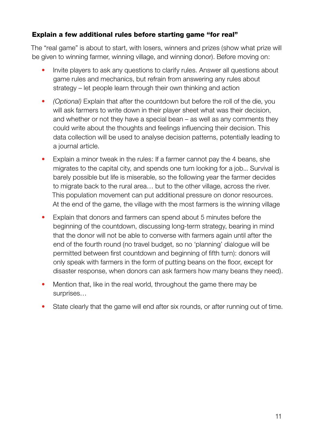#### Explain a few additional rules before starting game "for real"

The "real game" is about to start, with losers, winners and prizes (show what prize will be given to winning farmer, winning village, and winning donor). Before moving on:

- Invite players to ask any questions to clarify rules. Answer all questions about game rules and mechanics, but refrain from answering any rules about strategy – let people learn through their own thinking and action
- *(Optional)* Explain that after the countdown but before the roll of the die, you will ask farmers to write down in their player sheet what was their decision, and whether or not they have a special bean – as well as any comments they could write about the thoughts and feelings influencing their decision. This data collection will be used to analyse decision patterns, potentially leading to a journal article.
- Explain a minor tweak in the rules: If a farmer cannot pay the 4 beans, she migrates to the capital city, and spends one turn looking for a job... Survival is barely possible but life is miserable, so the following year the farmer decides to migrate back to the rural area… but to the other village, across the river. This population movement can put additional pressure on donor resources. At the end of the game, the village with the most farmers is the winning village
- Explain that donors and farmers can spend about 5 minutes before the beginning of the countdown, discussing long-term strategy, bearing in mind that the donor will not be able to converse with farmers again until after the end of the fourth round (no travel budget, so no 'planning' dialogue will be permitted between first countdown and beginning of fifth turn): donors will only speak with farmers in the form of putting beans on the floor, except for disaster response, when donors can ask farmers how many beans they need).
- Mention that, like in the real world, throughout the game there may be surprises…
- State clearly that the game will end after six rounds, or after running out of time.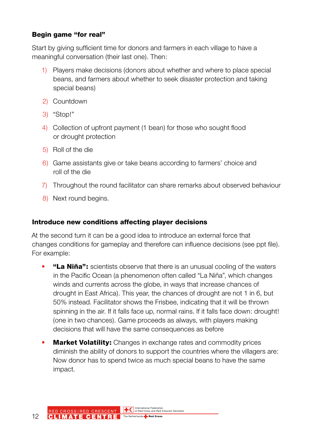#### Begin game "for real"

Start by giving sufficient time for donors and farmers in each village to have a meaningful conversation (their last one). Then:

- 1) Players make decisions (donors about whether and where to place special beans, and farmers about whether to seek disaster protection and taking special beans)
- 2) Countdown
- 3) "Stop!"
- 4) Collection of upfront payment (1 bean) for those who sought flood or drought protection
- 5) Roll of the die
- 6) Game assistants give or take beans according to farmers' choice and roll of the die
- 7) Throughout the round facilitator can share remarks about observed behaviour
- 8) Next round begins.

#### Introduce new conditions affecting player decisions

At the second turn it can be a good idea to introduce an external force that changes conditions for gameplay and therefore can influence decisions (see ppt file). For example:

- "La Niña": scientists observe that there is an unusual cooling of the waters in the Pacific Ocean (a phenomenon often called "La Niña", which changes winds and currents across the globe, in ways that increase chances of drought in East Africa). This year, the chances of drought are not 1 in 6, but 50% instead. Facilitator shows the Frisbee, indicating that it will be thrown spinning in the air. If it falls face up, normal rains. If it falls face down: drought! (one in two chances). Game proceeds as always, with players making decisions that will have the same consequences as before
- Market Volatility: Changes in exchange rates and commodity prices diminish the ability of donors to support the countries where the villagers are: Now donor has to spend twice as much special beans to have the same impact.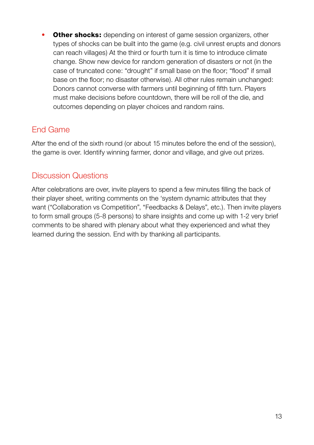**Other shocks:** depending on interest of game session organizers, other types of shocks can be built into the game (e.g. civil unrest erupts and donors can reach villages) At the third or fourth turn it is time to introduce climate change. Show new device for random generation of disasters or not (in the case of truncated cone: "drought" if small base on the floor; "flood" if small base on the floor; no disaster otherwise). All other rules remain unchanged: Donors cannot converse with farmers until beginning of fifth turn. Players must make decisions before countdown, there will be roll of the die, and outcomes depending on player choices and random rains.

### End Game

After the end of the sixth round (or about 15 minutes before the end of the session), the game is over. Identify winning farmer, donor and village, and give out prizes.

#### Discussion Questions

After celebrations are over, invite players to spend a few minutes filling the back of their player sheet, writing comments on the 'system dynamic attributes that they want ("Collaboration vs Competition", "Feedbacks & Delays", etc.). Then invite players to form small groups (5-8 persons) to share insights and come up with 1-2 very brief comments to be shared with plenary about what they experienced and what they learned during the session. End with by thanking all participants.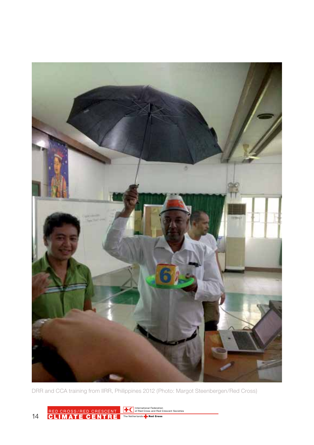

DRR and CCA training from IIRR, Philippines 2012 (Photo: Margot Steenbergen/Red Cross)